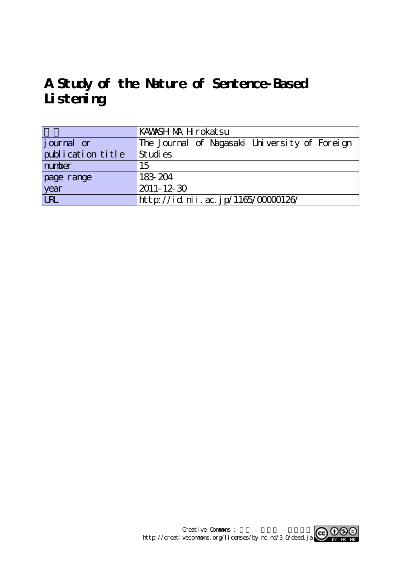# **A Study of the Nature of Sentence-Based Listening**

|                   | KAWASH MAH rokatsu                            |  |  |  |  |  |
|-------------------|-----------------------------------------------|--|--|--|--|--|
| journal or        | The Journal of Nagasaki University of Foreign |  |  |  |  |  |
| publication title | St udi es                                     |  |  |  |  |  |
| number            | 15                                            |  |  |  |  |  |
| page range        | 183-204                                       |  |  |  |  |  |
| year              | 2011-12-30                                    |  |  |  |  |  |
| URL               | http://id.nii.ac.jp/1165/00000126/            |  |  |  |  |  |

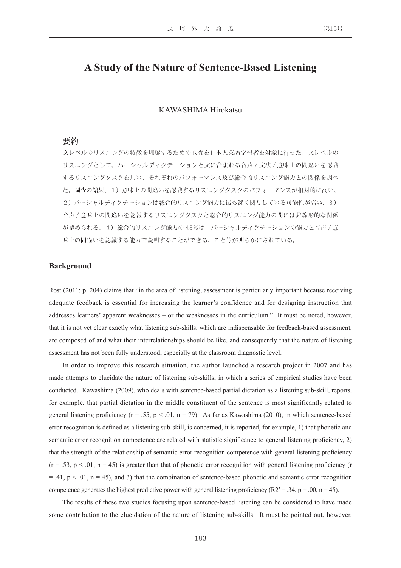## **A Study of the Nature of Sentence-Based Listening**

## KAWASHIMA Hirokatsu

## 要約

文レベルのリスニングの特徴を理解するための調査を日本人英語学習者を対象に行った。文レベルの リスニングとして、パーシャルディクテーションと文に含まれる音声 / 文法 / 意味上の間違いを認識 するリスニングタスクを用い、それぞれのパフォーマンス及び総合的リスニング能力との関係を調べ た。調査の結果、1)意味上の間違いを認識するリスニングタスクのパフォーマンスが相対的に高い、 2)パーシャルディクテーションは総合的リスニング能力に最も深く関与している可能性が高い、3) 音声 / 意味上の間違いを認識するリスニングタスクと総合的リスニング能力の間には非線形的な関係 が認められる、4)総合的リスニング能力の 43%は、パーシャルディクテーションの能力と音声 / 意 味上の間違いを認識する能力で説明することができる、こと等が明らかにされている。

## **Background**

Rost (2011: p. 204) claims that "in the area of listening, assessment is particularly important because receiving adequate feedback is essential for increasing the learner's confidence and for designing instruction that addresses learners' apparent weaknesses – or the weaknesses in the curriculum." It must be noted, however, that it is not yet clear exactly what listening sub-skills, which are indispensable for feedback-based assessment, are composed of and what their interrelationships should be like, and consequently that the nature of listening assessment has not been fully understood, especially at the classroom diagnostic level.

 In order to improve this research situation, the author launched a research project in 2007 and has made attempts to elucidate the nature of listening sub-skills, in which a series of empirical studies have been conducted. Kawashima (2009), who deals with sentence-based partial dictation as a listening sub-skill, reports, for example, that partial dictation in the middle constituent of the sentence is most significantly related to general listening proficiency ( $r = .55$ ,  $p < .01$ ,  $n = 79$ ). As far as Kawashima (2010), in which sentence-based error recognition is defined as a listening sub-skill, is concerned, it is reported, for example, 1) that phonetic and semantic error recognition competence are related with statistic significance to general listening proficiency, 2) that the strength of the relationship of semantic error recognition competence with general listening proficiency  $(r = .53, p < .01, n = 45)$  is greater than that of phonetic error recognition with general listening proficiency (r  $=$  .41, p < .01, n = 45), and 3) that the combination of sentence-based phonetic and semantic error recognition competence generates the highest predictive power with general listening proficiency (R2' = .34, p = .00, n = 45).

 The results of these two studies focusing upon sentence-based listening can be considered to have made some contribution to the elucidation of the nature of listening sub-skills. It must be pointed out, however,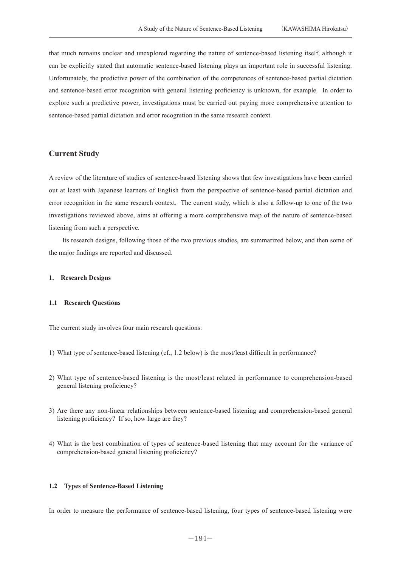that much remains unclear and unexplored regarding the nature of sentence-based listening itself, although it can be explicitly stated that automatic sentence-based listening plays an important role in successful listening. Unfortunately, the predictive power of the combination of the competences of sentence-based partial dictation and sentence-based error recognition with general listening proficiency is unknown, for example. In order to explore such a predictive power, investigations must be carried out paying more comprehensive attention to sentence-based partial dictation and error recognition in the same research context.

## **Current Study**

A review of the literature of studies of sentence-based listening shows that few investigations have been carried out at least with Japanese learners of English from the perspective of sentence-based partial dictation and error recognition in the same research context. The current study, which is also a follow-up to one of the two investigations reviewed above, aims at offering a more comprehensive map of the nature of sentence-based listening from such a perspective.

 Its research designs, following those of the two previous studies, are summarized below, and then some of the major findings are reported and discussed.

## **1. Research Designs**

## **1.1 Research Questions**

The current study involves four main research questions:

- 1) What type of sentence-based listening (cf., 1.2 below) is the most/least difficult in performance?
- 2) What type of sentence-based listening is the most/least related in performance to comprehension-based general listening proficiency?
- 3) Are there any non-linear relationships between sentence-based listening and comprehension-based general listening proficiency? If so, how large are they?
- 4) What is the best combination of types of sentence-based listening that may account for the variance of comprehension-based general listening proficiency?

## **1.2 Types of Sentence-Based Listening**

In order to measure the performance of sentence-based listening, four types of sentence-based listening were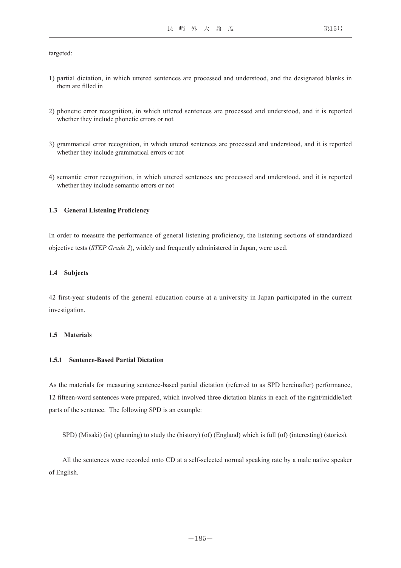targeted:

- 1) partial dictation, in which uttered sentences are processed and understood, and the designated blanks in them are filled in
- 2) phonetic error recognition, in which uttered sentences are processed and understood, and it is reported whether they include phonetic errors or not
- 3) grammatical error recognition, in which uttered sentences are processed and understood, and it is reported whether they include grammatical errors or not
- 4) semantic error recognition, in which uttered sentences are processed and understood, and it is reported whether they include semantic errors or not

## **1.3 General Listening Proficiency**

In order to measure the performance of general listening proficiency, the listening sections of standardized objective tests (*STEP Grade 2*), widely and frequently administered in Japan, were used.

#### **1.4 Subjects**

42 first-year students of the general education course at a university in Japan participated in the current investigation.

## **1.5 Materials**

## **1.5.1 Sentence-Based Partial Dictation**

As the materials for measuring sentence-based partial dictation (referred to as SPD hereinafter) performance, 12 fifteen-word sentences were prepared, which involved three dictation blanks in each of the right/middle/left parts of the sentence. The following SPD is an example:

SPD) (Misaki) (is) (planning) to study the (history) (of) (England) which is full (of) (interesting) (stories).

 All the sentences were recorded onto CD at a self-selected normal speaking rate by a male native speaker of English.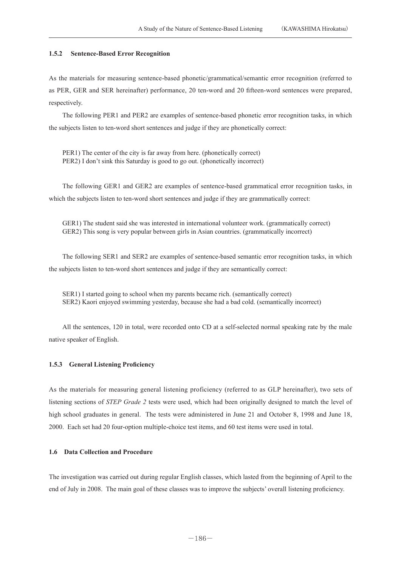## **1.5.2 Sentence-Based Error Recognition**

As the materials for measuring sentence-based phonetic/grammatical/semantic error recognition (referred to as PER, GER and SER hereinafter) performance, 20 ten-word and 20 fifteen-word sentences were prepared, respectively.

 The following PER1 and PER2 are examples of sentence-based phonetic error recognition tasks, in which the subjects listen to ten-word short sentences and judge if they are phonetically correct:

 PER1) The center of the city is far away from here. (phonetically correct) PER2) I don't sink this Saturday is good to go out. (phonetically incorrect)

 The following GER1 and GER2 are examples of sentence-based grammatical error recognition tasks, in which the subjects listen to ten-word short sentences and judge if they are grammatically correct:

 GER1) The student said she was interested in international volunteer work. (grammatically correct) GER2) This song is very popular between girls in Asian countries. (grammatically incorrect)

 The following SER1 and SER2 are examples of sentence-based semantic error recognition tasks, in which the subjects listen to ten-word short sentences and judge if they are semantically correct:

 SER1) I started going to school when my parents became rich. (semantically correct) SER2) Kaori enjoyed swimming yesterday, because she had a bad cold. (semantically incorrect)

 All the sentences, 120 in total, were recorded onto CD at a self-selected normal speaking rate by the male native speaker of English.

## **1.5.3 General Listening Proficiency**

As the materials for measuring general listening proficiency (referred to as GLP hereinafter), two sets of listening sections of *STEP Grade 2* tests were used, which had been originally designed to match the level of high school graduates in general. The tests were administered in June 21 and October 8, 1998 and June 18, 2000. Each set had 20 four-option multiple-choice test items, and 60 test items were used in total.

## **1.6 Data Collection and Procedure**

The investigation was carried out during regular English classes, which lasted from the beginning of April to the end of July in 2008. The main goal of these classes was to improve the subjects' overall listening proficiency.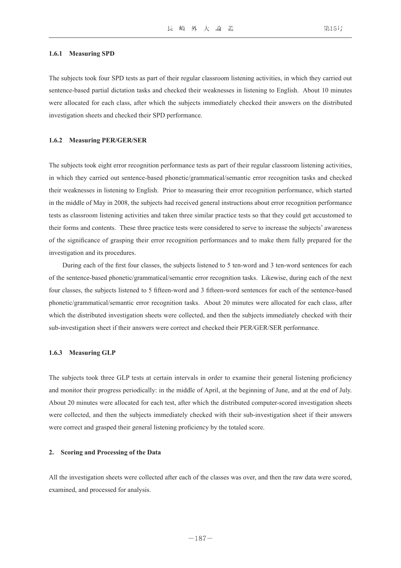#### **1.6.1 Measuring SPD**

The subjects took four SPD tests as part of their regular classroom listening activities, in which they carried out sentence-based partial dictation tasks and checked their weaknesses in listening to English. About 10 minutes were allocated for each class, after which the subjects immediately checked their answers on the distributed investigation sheets and checked their SPD performance.

#### **1.6.2 Measuring PER/GER/SER**

The subjects took eight error recognition performance tests as part of their regular classroom listening activities, in which they carried out sentence-based phonetic/grammatical/semantic error recognition tasks and checked their weaknesses in listening to English. Prior to measuring their error recognition performance, which started in the middle of May in 2008, the subjects had received general instructions about error recognition performance tests as classroom listening activities and taken three similar practice tests so that they could get accustomed to their forms and contents. These three practice tests were considered to serve to increase the subjects' awareness of the significance of grasping their error recognition performances and to make them fully prepared for the investigation and its procedures.

 During each of the first four classes, the subjects listened to 5 ten-word and 3 ten-word sentences for each of the sentence-based phonetic/grammatical/semantic error recognition tasks. Likewise, during each of the next four classes, the subjects listened to 5 fifteen-word and 3 fifteen-word sentences for each of the sentence-based phonetic/grammatical/semantic error recognition tasks. About 20 minutes were allocated for each class, after which the distributed investigation sheets were collected, and then the subjects immediately checked with their sub-investigation sheet if their answers were correct and checked their PER/GER/SER performance.

#### **1.6.3 Measuring GLP**

The subjects took three GLP tests at certain intervals in order to examine their general listening proficiency and monitor their progress periodically: in the middle of April, at the beginning of June, and at the end of July. About 20 minutes were allocated for each test, after which the distributed computer-scored investigation sheets were collected, and then the subjects immediately checked with their sub-investigation sheet if their answers were correct and grasped their general listening proficiency by the totaled score.

## **2. Scoring and Processing of the Data**

All the investigation sheets were collected after each of the classes was over, and then the raw data were scored, examined, and processed for analysis.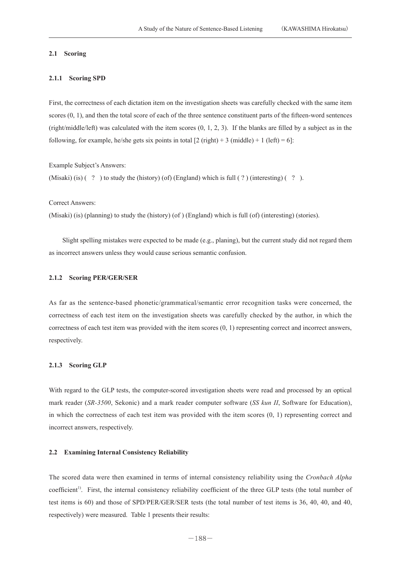## **2.1 Scoring**

## **2.1.1 Scoring SPD**

First, the correctness of each dictation item on the investigation sheets was carefully checked with the same item scores (0, 1), and then the total score of each of the three sentence constituent parts of the fifteen-word sentences (right/middle/left) was calculated with the item scores  $(0, 1, 2, 3)$ . If the blanks are filled by a subject as in the following, for example, he/she gets six points in total  $[2 \text{ (right)} + 3 \text{ (middle)} + 1 \text{ (left)} = 6]$ :

Example Subject's Answers:

(Misaki) (is)  $( ? )$  to study the (history) (of) (England) which is full  $( ? )$  (interesting)  $( ? )$ .

Correct Answers:

(Misaki) (is) (planning) to study the (history) (of ) (England) which is full (of) (interesting) (stories).

 Slight spelling mistakes were expected to be made (e.g., planing), but the current study did not regard them as incorrect answers unless they would cause serious semantic confusion.

#### **2.1.2 Scoring PER/GER/SER**

As far as the sentence-based phonetic/grammatical/semantic error recognition tasks were concerned, the correctness of each test item on the investigation sheets was carefully checked by the author, in which the correctness of each test item was provided with the item scores  $(0, 1)$  representing correct and incorrect answers, respectively.

#### **2.1.3 Scoring GLP**

With regard to the GLP tests, the computer-scored investigation sheets were read and processed by an optical mark reader (*SR-3500*, Sekonic) and a mark reader computer software (*SS kun II*, Software for Education), in which the correctness of each test item was provided with the item scores (0, 1) representing correct and incorrect answers, respectively.

## **2.2 Examining Internal Consistency Reliability**

The scored data were then examined in terms of internal consistency reliability using the *Cronbach Alpha*  coefficient<sup>1)</sup>. First, the internal consistency reliability coefficient of the three GLP tests (the total number of test items is 60) and those of SPD/PER/GER/SER tests (the total number of test items is 36, 40, 40, and 40, respectively) were measured. Table 1 presents their results: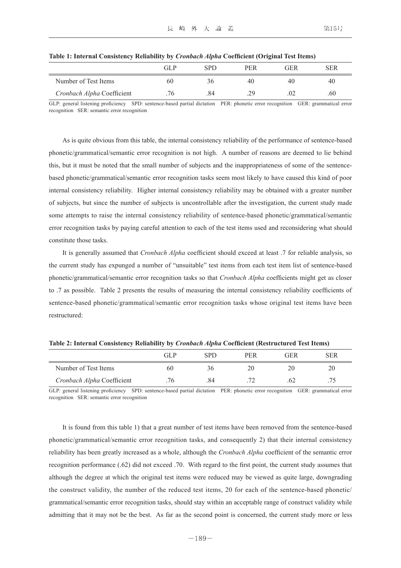|                            | GL P | SPD | <b>PER</b> | GER | SER |
|----------------------------|------|-----|------------|-----|-----|
| Number of Test Items       | 60   | 3b  | 40         | 40  | 40  |
| Cronbach Alpha Coefficient | 76   | 84  | 29         | 02  | .60 |

**Table 1: Internal Consistency Reliability by** *Cronbach Alpha* **Coefficient (Original Test Items)**

GLP: general listening proficiency SPD: sentence-based partial dictation PER: phonetic error recognition GER: grammatical error recognition SER: semantic error recognition

 As is quite obvious from this table, the internal consistency reliability of the performance of sentence-based phonetic/grammatical/semantic error recognition is not high. A number of reasons are deemed to lie behind this, but it must be noted that the small number of subjects and the inappropriateness of some of the sentencebased phonetic/grammatical/semantic error recognition tasks seem most likely to have caused this kind of poor internal consistency reliability. Higher internal consistency reliability may be obtained with a greater number of subjects, but since the number of subjects is uncontrollable after the investigation, the current study made some attempts to raise the internal consistency reliability of sentence-based phonetic/grammatical/semantic error recognition tasks by paying careful attention to each of the test items used and reconsidering what should constitute those tasks.

 It is generally assumed that *Cronbach Alpha* coefficient should exceed at least .7 for reliable analysis, so the current study has expunged a number of "unsuitable" test items from each test item list of sentence-based phonetic/grammatical/semantic error recognition tasks so that *Cronbach Alpha* coefficients might get as closer to .7 as possible. Table 2 presents the results of measuring the internal consistency reliability coefficients of sentence-based phonetic/grammatical/semantic error recognition tasks whose original test items have been restructured:

|                            | GL P | SPD | <b>PER</b> | GER | SER |
|----------------------------|------|-----|------------|-----|-----|
| Number of Test Items       | 60   | 36  | 20         |     | 20  |
| Cronbach Alpha Coefficient | 76   | .84 |            |     |     |

**Table 2: Internal Consistency Reliability by** *Cronbach Alpha* **Coefficient (Restructured Test Items)**

GLP: general listening proficiency SPD: sentence-based partial dictation PER: phonetic error recognition GER: grammatical error recognition SER: semantic error recognition

 It is found from this table 1) that a great number of test items have been removed from the sentence-based phonetic/grammatical/semantic error recognition tasks, and consequently 2) that their internal consistency reliability has been greatly increased as a whole, although the *Cronbach Alpha* coefficient of the semantic error recognition performance (.62) did not exceed .70. With regard to the first point, the current study assumes that although the degree at which the original test items were reduced may be viewed as quite large, downgrading the construct validity, the number of the reduced test items, 20 for each of the sentence-based phonetic/ grammatical/semantic error recognition tasks, should stay within an acceptable range of construct validity while admitting that it may not be the best. As far as the second point is concerned, the current study more or less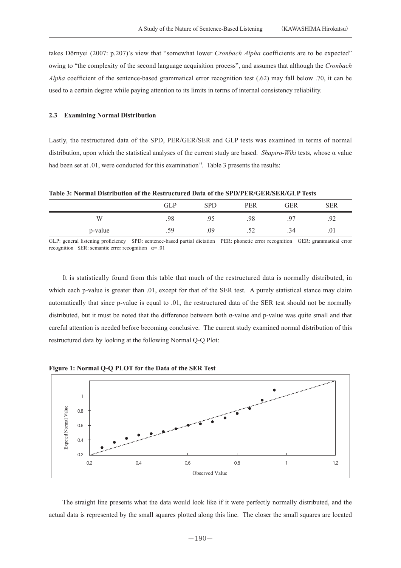takes Dörnyei (2007: p.207)'s view that "somewhat lower *Cronbach Alpha* coefficients are to be expected" owing to "the complexity of the second language acquisition process", and assumes that although the *Cronbach Alpha* coefficient of the sentence-based grammatical error recognition test (.62) may fall below .70, it can be used to a certain degree while paying attention to its limits in terms of internal consistency reliability.

## **2.3 Examining Normal Distribution**

Lastly, the restructured data of the SPD, PER/GER/SER and GLP tests was examined in terms of normal distribution, upon which the statistical analyses of the current study are based. *Shapiro-Wiki* tests, whose α value had been set at  $.01$ , were conducted for this examination<sup>2)</sup>. Table 3 presents the results:

**Table 3: Normal Distribution of the Restructured Data of the SPD/PER/GER/SER/GLP Tests** 

|         | <b>GLP</b> | <b>SPD</b> | PER | <b>GER</b> | <b>SER</b> |
|---------|------------|------------|-----|------------|------------|
| W       | .98        | .95        | .98 | $Q^{\pi}$  | .92        |
| p-value | .59        | .09        | ے ب | .34        | .01        |

GLP: general listening proficiency SPD: sentence-based partial dictation PER: phonetic error recognition GER: grammatical error recognition SER: semantic error recognition  $\alpha$ = .01

 It is statistically found from this table that much of the restructured data is normally distributed, in which each p-value is greater than .01, except for that of the SER test. A purely statistical stance may claim automatically that since p-value is equal to .01, the restructured data of the SER test should not be normally distributed, but it must be noted that the difference between both α-value and p-value was quite small and that careful attention is needed before becoming conclusive. The current study examined normal distribution of this restructured data by looking at the following Normal Q-Q Plot:

**Figure 1: Normal Q-Q PLOT for the Data of the SER Test**



The straight line presents what the data would look like if it were perfectly normally distributed, and the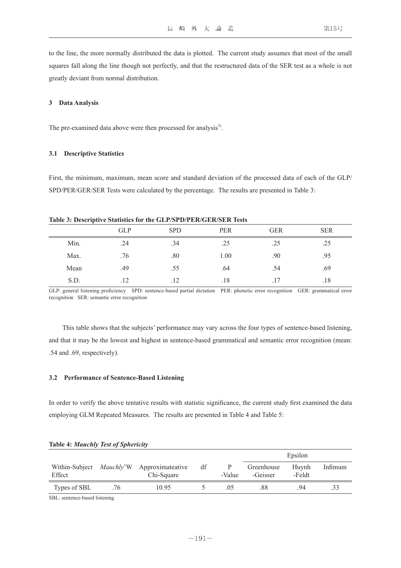to the line, the more normally distributed the data is plotted. The current study assumes that most of the small squares fall along the line though not perfectly, and that the restructured data of the SER test as a whole is not

#### **3 Data Analysis**

The pre-examined data above were then processed for analysis<sup>3)</sup>.

#### **3.1 Descriptive Statistics**

greatly deviant from normal distribution.

First, the minimum, maximum, mean score and standard deviation of the processed data of each of the GLP/ SPD/PER/GER/SER Tests were calculated by the percentage. The results are presented in Table 3:

| $\overline{\phantom{a}}$ |            |            |            |            |            |  |
|--------------------------|------------|------------|------------|------------|------------|--|
|                          | <b>GLP</b> | <b>SPD</b> | <b>PER</b> | <b>GER</b> | <b>SER</b> |  |
| Min.                     | .24        | .34        | .25        | .25        | .25        |  |
| Max.                     | .76        | .80        | 1.00       | .90        | .95        |  |
| Mean                     | .49        | .55        | .64        | .54        | .69        |  |
| S.D.                     | .12        | .12        | .18        | .17        | .18        |  |

#### **Table 3: Descriptive Statistics for the GLP/SPD/PER/GER/SER Tests**

GLP: general listening proficiency SPD: sentence-based partial dictation PER: phonetic error recognition GER: grammatical error recognition SER: semantic error recognition

 This table shows that the subjects' performance may vary across the four types of sentence-based listening, and that it may be the lowest and highest in sentence-based grammatical and semantic error recognition (mean: .54 and .69, respectively).

#### **3.2 Performance of Sentence-Based Listening**

In order to verify the above tentative results with statistic significance, the current study first examined the data employing GLM Repeated Measures. The results are presented in Table 4 and Table 5:

|                                            |     |                                |    |        |                        | Epsilon         |         |
|--------------------------------------------|-----|--------------------------------|----|--------|------------------------|-----------------|---------|
| Within-Subject <i>Mauchly</i> 'W<br>Effect |     | Approximateative<br>Chi-Square | df | -Value | Greenhouse<br>-Geisser | Huynh<br>-Feldt | Infimum |
| Types of SBL                               | .76 | 10.95                          |    | .05    | .88                    | 94              | .33     |

#### **Table 4:** *Mauchly Test of Sphericity*

SBL: sentence-based listening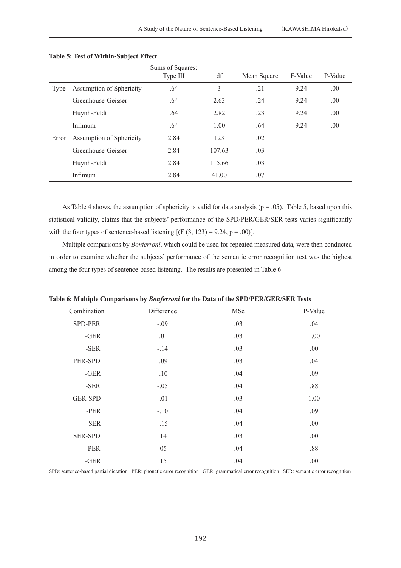|       |                          | Sums of Squares:<br>Type III | df     | Mean Square | F-Value | P-Value |
|-------|--------------------------|------------------------------|--------|-------------|---------|---------|
| Type  | Assumption of Sphericity | .64                          | 3      | .21         | 9.24    | .00.    |
|       | Greenhouse-Geisser       | .64                          | 2.63   | .24         | 9.24    | .00.    |
|       | Huynh-Feldt              | .64                          | 2.82   | .23         | 9.24    | .00     |
|       | Infimum                  | .64                          | 1.00   | .64         | 9.24    | .00     |
| Error | Assumption of Sphericity | 2.84                         | 123    | .02         |         |         |
|       | Greenhouse-Geisser       | 2.84                         | 107.63 | .03         |         |         |
|       | Huynh-Feldt              | 2.84                         | 115.66 | .03         |         |         |
|       | Infimum                  | 2.84                         | 41.00  | .07         |         |         |

**Table 5: Test of Within-Subject Effect**

As Table 4 shows, the assumption of sphericity is valid for data analysis ( $p = .05$ ). Table 5, based upon this statistical validity, claims that the subjects' performance of the SPD/PER/GER/SER tests varies significantly with the four types of sentence-based listening  $[(F (3, 123) = 9.24, p = .00)].$ 

 Multiple comparisons by *Bonferroni*, which could be used for repeated measured data, were then conducted in order to examine whether the subjects' performance of the semantic error recognition test was the highest among the four types of sentence-based listening. The results are presented in Table 6:

| Combination    | Difference | MSe | P-Value |
|----------------|------------|-----|---------|
| SPD-PER        | $-.09$     | .03 | .04     |
| $-GER$         | .01        | .03 | 1.00    |
| -SER           | $-14$      | .03 | .00.    |
| PER-SPD        | .09        | .03 | .04     |
| $-GER$         | .10        | .04 | .09     |
| $-SER$         | $-.05$     | .04 | $.88\,$ |
| <b>GER-SPD</b> | $-.01$     | .03 | 1.00    |
| $-PER$         | $-.10$     | .04 | .09     |
| -SER           | $-.15$     | .04 | .00     |
| <b>SER-SPD</b> | .14        | .03 | .00.    |
| -PER           | .05        | .04 | $.88\,$ |
| $-GER$         | .15        | .04 | .00     |

**Table 6: Multiple Comparisons by** *Bonferroni* **for the Data of the SPD/PER/GER/SER Tests**

SPD: sentence-based partial dictation PER: phonetic error recognition GER: grammatical error recognition SER: semantic error recognition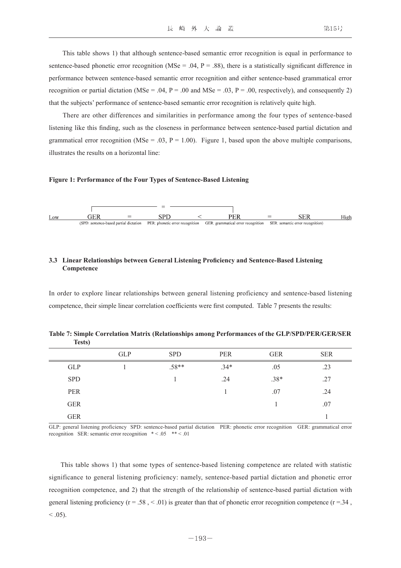This table shows 1) that although sentence-based semantic error recognition is equal in performance to sentence-based phonetic error recognition (MSe = .04,  $P = .88$ ), there is a statistically significant difference in performance between sentence-based semantic error recognition and either sentence-based grammatical error recognition or partial dictation (MSe = .04, P = .00 and MSe = .03, P = .00, respectively), and consequently 2) that the subjects' performance of sentence-based semantic error recognition is relatively quite high.

 There are other differences and similarities in performance among the four types of sentence-based listening like this finding, such as the closeness in performance between sentence-based partial dictation and grammatical error recognition (MSe = .03, P = 1.00). Figure 1, based upon the above multiple comparisons, illustrates the results on a horizontal line:

#### **Figure 1: Performance of the Four Types of Sentence-Based Listening**



## **3.3 Linear Relationships between General Listening Proficiency and Sentence-Based Listening Competence**

In order to explore linear relationships between general listening proficiency and sentence-based listening competence, their simple linear correlation coefficients were first computed. Table 7 presents the results:

**Table 7: Simple Correlation Matrix (Relationships among Performances of the GLP/SPD/PER/GER/SER Tests)**

|            | <b>GLP</b> | <b>SPD</b> | <b>PER</b> | <b>GER</b> | <b>SER</b> |
|------------|------------|------------|------------|------------|------------|
| <b>GLP</b> |            | $.58**$    | $.34*$     | .05        | .23        |
| <b>SPD</b> |            |            | .24        | $.38*$     | .27        |
| <b>PER</b> |            |            |            | .07        | .24        |
| <b>GER</b> |            |            |            |            | .07        |
| <b>GER</b> |            |            |            |            |            |

GLP: general listening proficiency SPD: sentence-based partial dictation PER: phonetic error recognition GER: grammatical error recognition SER: semantic error recognition  $* < .05$  \*\* < .01

 This table shows 1) that some types of sentence-based listening competence are related with statistic significance to general listening proficiency: namely, sentence-based partial dictation and phonetic error recognition competence, and 2) that the strength of the relationship of sentence-based partial dictation with general listening proficiency ( $r = .58$ ,  $\lt .01$ ) is greater than that of phonetic error recognition competence ( $r = .34$ ,  $< 0.05$ ).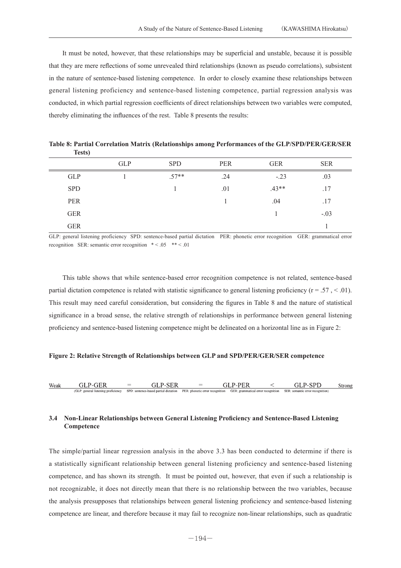It must be noted, however, that these relationships may be superficial and unstable, because it is possible that they are mere reflections of some unrevealed third relationships (known as pseudo correlations), subsistent in the nature of sentence-based listening competence. In order to closely examine these relationships between general listening proficiency and sentence-based listening competence, partial regression analysis was conducted, in which partial regression coefficients of direct relationships between two variables were computed, thereby eliminating the influences of the rest. Table 8 presents the results:

|            | <b>GLP</b> | <b>SPD</b> | PER | <b>GER</b> | <b>SER</b> |
|------------|------------|------------|-----|------------|------------|
| <b>GLP</b> |            | $.57**$    | .24 | $-.23$     | .03        |
| <b>SPD</b> |            |            | .01 | $.43**$    | .17        |
| PER        |            |            |     | .04        | .17        |
| <b>GER</b> |            |            |     |            | $-.03$     |
| <b>GER</b> |            |            |     |            |            |

**Table 8: Partial Correlation Matrix (Relationships among Performances of the GLP/SPD/PER/GER/SER Tests)**

GLP: general listening proficiency SPD: sentence-based partial dictation PER: phonetic error recognition GER: grammatical error recognition SER: semantic error recognition  $* < .05$   $** < .01$ 

 This table shows that while sentence-based error recognition competence is not related, sentence-based partial dictation competence is related with statistic significance to general listening proficiency  $(r = .57 \times .01)$ . This result may need careful consideration, but considering the figures in Table 8 and the nature of statistical significance in a broad sense, the relative strength of relationships in performance between general listening proficiency and sentence-based listening competence might be delineated on a horizontal line as in Figure 2:

#### **Figure 2: Relative Strength of Relationships between GLP and SPD/PER/GER/SER competence**

| Weak |                                                                           | $=$ | $=$ |  |                                                                                                     | Strong |
|------|---------------------------------------------------------------------------|-----|-----|--|-----------------------------------------------------------------------------------------------------|--------|
|      | (GLP: general listening proficiency SPD: sentence-based partial dictation |     |     |  | PER; phonetic error recognition GER; grammatical error recognition SER; semantic error recognition) |        |

## **3.4 Non-Linear Relationships between General Listening Proficiency and Sentence-Based Listening Competence**

The simple/partial linear regression analysis in the above 3.3 has been conducted to determine if there is a statistically significant relationship between general listening proficiency and sentence-based listening competence, and has shown its strength. It must be pointed out, however, that even if such a relationship is not recognizable, it does not directly mean that there is no relationship between the two variables, because the analysis presupposes that relationships between general listening proficiency and sentence-based listening competence are linear, and therefore because it may fail to recognize non-linear relationships, such as quadratic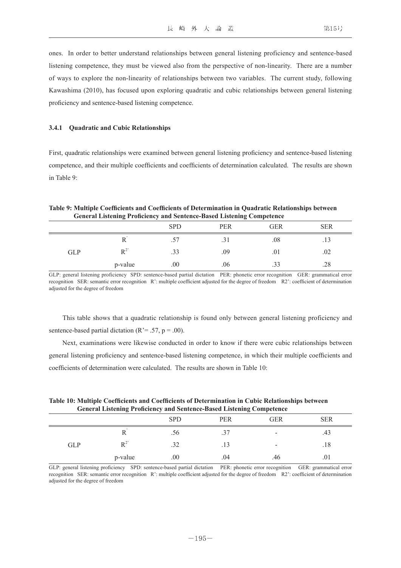ones. In order to better understand relationships between general listening proficiency and sentence-based listening competence, they must be viewed also from the perspective of non-linearity. There are a number of ways to explore the non-linearity of relationships between two variables. The current study, following Kawashima (2010), has focused upon exploring quadratic and cubic relationships between general listening proficiency and sentence-based listening competence.

#### **3.4.1 Quadratic and Cubic Relationships**

First, quadratic relationships were examined between general listening proficiency and sentence-based listening competence, and their multiple coefficients and coefficients of determination calculated. The results are shown in Table 9:

## **Table 9: Multiple Coefficients and Coefficients of Determination in Quadratic Relationships between General Listening Proficiency and Sentence-Based Listening Competence**

|            |                       | <b>SPD</b> | PER  | <b>GER</b> | <b>SER</b> |
|------------|-----------------------|------------|------|------------|------------|
|            | 17                    | $\cdot$    | .J 1 | .08        | .13        |
| <b>GLP</b> | $\mathbf{D}^{2}$<br>ĸ | .33        | .09  | .01        | .02        |
|            | p-value               | .00.       | .06  | .33        | .28        |

GLP: general listening proficiency SPD: sentence-based partial dictation PER: phonetic error recognition GER: grammatical error recognition SER: semantic error recognition R': multiple coefficient adjusted for the degree of freedom R2': coefficient of determination adjusted for the degree of freedom

 This table shows that a quadratic relationship is found only between general listening proficiency and sentence-based partial dictation ( $R^2$  = .57,  $p = .00$ ).

 Next, examinations were likewise conducted in order to know if there were cubic relationships between general listening proficiency and sentence-based listening competence, in which their multiple coefficients and coefficients of determination were calculated. The results are shown in Table 10:

| Table 10: Multiple Coefficients and Coefficients of Determination in Cubic Relationships between |
|--------------------------------------------------------------------------------------------------|
| <b>General Listening Proficiency and Sentence-Based Listening Competence</b>                     |

|            |         | <b>SPD</b> | <b>PER</b> | <b>GER</b>               | <b>SER</b> |
|------------|---------|------------|------------|--------------------------|------------|
|            | л       | .56        | 37<br>، ب  | $\overline{\phantom{0}}$ | .43        |
| <b>GLP</b> | $R^2$   | .32        | .13        | $\overline{\phantom{a}}$ | .18        |
|            | p-value | .00        | .04        | .46                      | .01        |

GLP: general listening proficiency SPD: sentence-based partial dictation PER: phonetic error recognition GER: grammatical error recognition SER: semantic error recognition R': multiple coefficient adjusted for the degree of freedom R2': coefficient of determination adjusted for the degree of freedom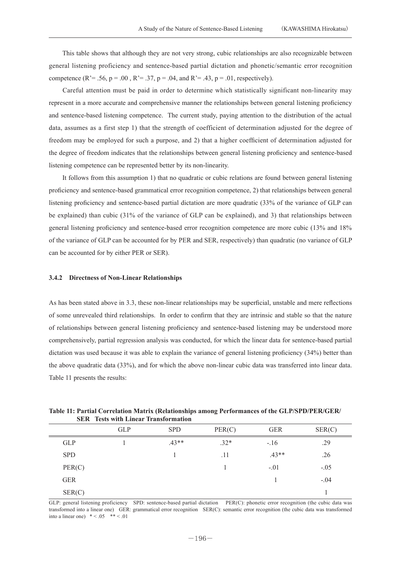This table shows that although they are not very strong, cubic relationships are also recognizable between general listening proficiency and sentence-based partial dictation and phonetic/semantic error recognition competence (R<sup>'</sup>= .56, p = .00, R<sup>'</sup>= .37, p = .04, and R<sup>'</sup>= .43, p = .01, respectively).

 Careful attention must be paid in order to determine which statistically significant non-linearity may represent in a more accurate and comprehensive manner the relationships between general listening proficiency and sentence-based listening competence. The current study, paying attention to the distribution of the actual data, assumes as a first step 1) that the strength of coefficient of determination adjusted for the degree of freedom may be employed for such a purpose, and 2) that a higher coefficient of determination adjusted for the degree of freedom indicates that the relationships between general listening proficiency and sentence-based listening competence can be represented better by its non-linearity.

 It follows from this assumption 1) that no quadratic or cubic relations are found between general listening proficiency and sentence-based grammatical error recognition competence, 2) that relationships between general listening proficiency and sentence-based partial dictation are more quadratic (33% of the variance of GLP can be explained) than cubic (31% of the variance of GLP can be explained), and 3) that relationships between general listening proficiency and sentence-based error recognition competence are more cubic (13% and 18% of the variance of GLP can be accounted for by PER and SER, respectively) than quadratic (no variance of GLP can be accounted for by either PER or SER).

#### **3.4.2 Directness of Non-Linear Relationships**

As has been stated above in 3.3, these non-linear relationships may be superficial, unstable and mere reflections of some unrevealed third relationships. In order to confirm that they are intrinsic and stable so that the nature of relationships between general listening proficiency and sentence-based listening may be understood more comprehensively, partial regression analysis was conducted, for which the linear data for sentence-based partial dictation was used because it was able to explain the variance of general listening proficiency (34%) better than the above quadratic data (33%), and for which the above non-linear cubic data was transferred into linear data. Table 11 presents the results:

| SER Tests with Linear Transformation |            |            |        |            |        |
|--------------------------------------|------------|------------|--------|------------|--------|
|                                      | <b>GLP</b> | <b>SPD</b> | PER(C) | <b>GER</b> | SER(C) |
| <b>GLP</b>                           |            | $.43**$    | $.32*$ | $-.16$     | .29    |
| <b>SPD</b>                           |            |            | .11    | $.43**$    | .26    |
| PER(C)                               |            |            |        | $-.01$     | $-.05$ |
| <b>GER</b>                           |            |            |        |            | $-.04$ |
| SER(C)                               |            |            |        |            |        |

**Table 11: Partial Correlation Matrix (Relationships among Performances of the GLP/SPD/PER/GER/ SER Tests with Linear Transformation**

GLP: general listening proficiency SPD: sentence-based partial dictation PER(C): phonetic error recognition (the cubic data was transformed into a linear one) GER: grammatical error recognition SER(C): semantic error recognition (the cubic data was transformed into a linear one)  $* < .05$  \*\*  $< .01$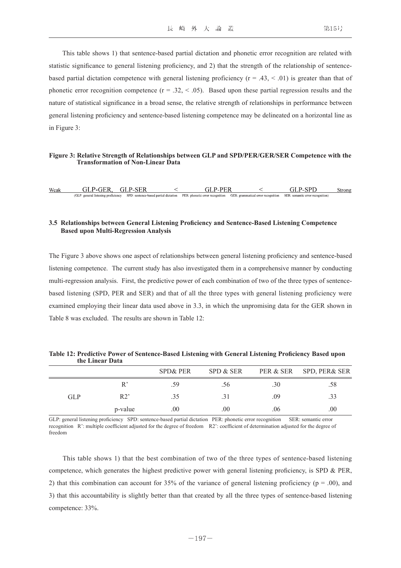This table shows 1) that sentence-based partial dictation and phonetic error recognition are related with statistic significance to general listening proficiency, and 2) that the strength of the relationship of sentencebased partial dictation competence with general listening proficiency  $(r = .43, < .01)$  is greater than that of phonetic error recognition competence  $(r = .32, < .05)$ . Based upon these partial regression results and the nature of statistical significance in a broad sense, the relative strength of relationships in performance between general listening proficiency and sentence-based listening competence may be delineated on a horizontal line as in Figure 3:

#### **Figure 3: Relative Strength of Relationships between GLP and SPD/PER/GER/SER Competence with the Transformation of Non-Linear Data**

| Weak |                                       |                                           |                                 |                                    |                                  | strong |
|------|---------------------------------------|-------------------------------------------|---------------------------------|------------------------------------|----------------------------------|--------|
|      | - GL<br>general listening proficiency | SPD: sentence-based partia<br>a dictation | PER: phonetic error recognition | GER: grammatical error recognition | SER: semantic error recognition) |        |

## **3.5 Relationships between General Listening Proficiency and Sentence-Based Listening Competence Based upon Multi-Regression Analysis**

The Figure 3 above shows one aspect of relationships between general listening proficiency and sentence-based listening competence. The current study has also investigated them in a comprehensive manner by conducting multi-regression analysis. First, the predictive power of each combination of two of the three types of sentencebased listening (SPD, PER and SER) and that of all the three types with general listening proficiency were examined employing their linear data used above in 3.3, in which the unpromising data for the GER shown in Table 8 was excluded. The results are shown in Table 12:

|            | uit Lilitai <i>Data</i> |                     |                  |     |                         |
|------------|-------------------------|---------------------|------------------|-----|-------------------------|
|            |                         | <b>SPD&amp; PER</b> | SPD & SER        |     | PER & SER SPD, PER& SER |
|            |                         | .59                 | .56 <sub>1</sub> | .30 | .58                     |
| <b>GLP</b> | R2'                     | .35                 |                  | .09 | .33                     |
|            | p-value                 | .00                 | 00               | .06 | .00                     |

**Table 12: Predictive Power of Sentence-Based Listening with General Listening Proficiency Based upon the Linear Data**

GLP: general listening proficiency SPD: sentence-based partial dictation PER: phonetic error recognition SER: semantic error recognition R': multiple coefficient adjusted for the degree of freedom R2': coefficient of determination adjusted for the degree of freedom

 This table shows 1) that the best combination of two of the three types of sentence-based listening competence, which generates the highest predictive power with general listening proficiency, is SPD & PER, 2) that this combination can account for 35% of the variance of general listening proficiency ( $p = .00$ ), and 3) that this accountability is slightly better than that created by all the three types of sentence-based listening competence: 33%.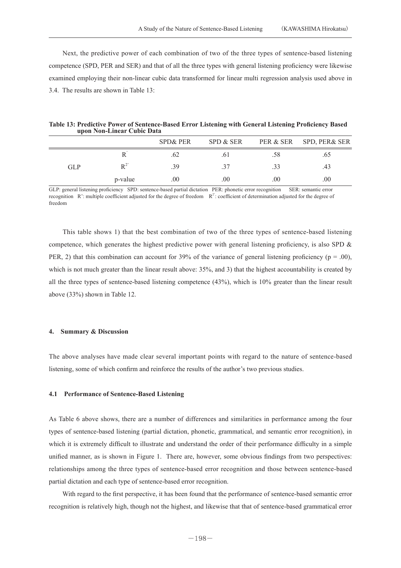Next, the predictive power of each combination of two of the three types of sentence-based listening competence (SPD, PER and SER) and that of all the three types with general listening proficiency were likewise examined employing their non-linear cubic data transformed for linear multi regression analysis used above in 3.4. The results are shown in Table 13:

|                            | Table 13: Predictive Power of Sentence-Based Error Listening with General Listening Proficiency Based |
|----------------------------|-------------------------------------------------------------------------------------------------------|
| upon Non-Linear Cubic Data |                                                                                                       |

|            |         | <b>SPD&amp; PER</b> | SPD & SER |                  | PER & SER SPD, PER& SER |
|------------|---------|---------------------|-----------|------------------|-------------------------|
|            |         | .62                 | .61       | .58              | .65 <sub>1</sub>        |
| <b>GLP</b> |         | .39                 | .37       | .33 <sup>°</sup> | .43                     |
|            | p-value | $.00\,$             | $.00\,$   | $.00\,$          | .00.                    |

GLP: general listening proficiency SPD: sentence-based partial dictation PER: phonetic error recognition SER: semantic error recognition  $\mathbb{R}^2$ : multiple coefficient adjusted for the degree of freedom  $\mathbb{R}^2$ : coefficient of determination adjusted for the degree of freedom

 This table shows 1) that the best combination of two of the three types of sentence-based listening competence, which generates the highest predictive power with general listening proficiency, is also SPD  $\&$ PER, 2) that this combination can account for 39% of the variance of general listening proficiency ( $p = .00$ ), which is not much greater than the linear result above: 35%, and 3) that the highest accountability is created by all the three types of sentence-based listening competence (43%), which is 10% greater than the linear result above (33%) shown in Table 12.

## **4. Summary & Discussion**

The above analyses have made clear several important points with regard to the nature of sentence-based listening, some of which confirm and reinforce the results of the author's two previous studies.

#### **4.1 Performance of Sentence-Based Listening**

As Table 6 above shows, there are a number of differences and similarities in performance among the four types of sentence-based listening (partial dictation, phonetic, grammatical, and semantic error recognition), in which it is extremely difficult to illustrate and understand the order of their performance difficulty in a simple unified manner, as is shown in Figure 1. There are, however, some obvious findings from two perspectives: relationships among the three types of sentence-based error recognition and those between sentence-based partial dictation and each type of sentence-based error recognition.

 With regard to the first perspective, it has been found that the performance of sentence-based semantic error recognition is relatively high, though not the highest, and likewise that that of sentence-based grammatical error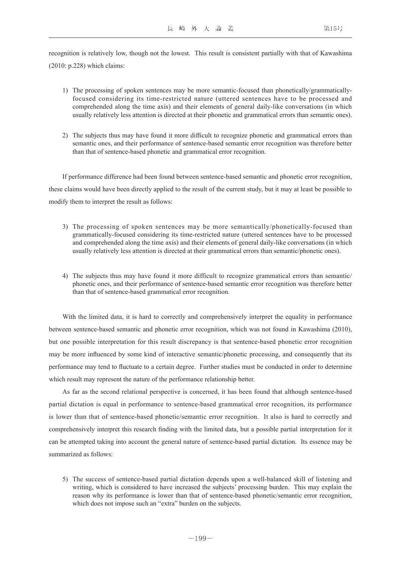recognition is relatively low, though not the lowest. This result is consistent partially with that of Kawashima (2010: p.228) which claims:

- 1) The processing of spoken sentences may be more semantic-focused than phonetically/grammaticallyfocused considering its time-restricted nature (uttered sentences have to be processed and comprehended along the time axis) and their elements of general daily-like conversations (in which usually relatively less attention is directed at their phonetic and grammatical errors than semantic ones).
- 2) The subjects thus may have found it more difficult to recognize phonetic and grammatical errors than semantic ones, and their performance of sentence-based semantic error recognition was therefore better than that of sentence-based phonetic and grammatical error recognition.

 If performance difference had been found between sentence-based semantic and phonetic error recognition, these claims would have been directly applied to the result of the current study, but it may at least be possible to modify them to interpret the result as follows:

- 3) The processing of spoken sentences may be more semantically/phonetically-focused than grammatically-focused considering its time-restricted nature (uttered sentences have to be processed and comprehended along the time axis) and their elements of general daily-like conversations (in which usually relatively less attention is directed at their grammatical errors than semantic/phonetic ones).
- 4) The subjects thus may have found it more difficult to recognize grammatical errors than semantic/ phonetic ones, and their performance of sentence-based semantic error recognition was therefore better than that of sentence-based grammatical error recognition.

 With the limited data, it is hard to correctly and comprehensively interpret the equality in performance between sentence-based semantic and phonetic error recognition, which was not found in Kawashima (2010), but one possible interpretation for this result discrepancy is that sentence-based phonetic error recognition may be more influenced by some kind of interactive semantic/phonetic processing, and consequently that its performance may tend to fluctuate to a certain degree. Further studies must be conducted in order to determine which result may represent the nature of the performance relationship better.

 As far as the second relational perspective is concerned, it has been found that although sentence-based partial dictation is equal in performance to sentence-based grammatical error recognition, its performance is lower than that of sentence-based phonetic/semantic error recognition. It also is hard to correctly and comprehensively interpret this research finding with the limited data, but a possible partial interpretation for it can be attempted taking into account the general nature of sentence-based partial dictation. Its essence may be summarized as follows:

 5) The success of sentence-based partial dictation depends upon a well-balanced skill of listening and writing, which is considered to have increased the subjects' processing burden. This may explain the reason why its performance is lower than that of sentence-based phonetic/semantic error recognition, which does not impose such an "extra" burden on the subjects.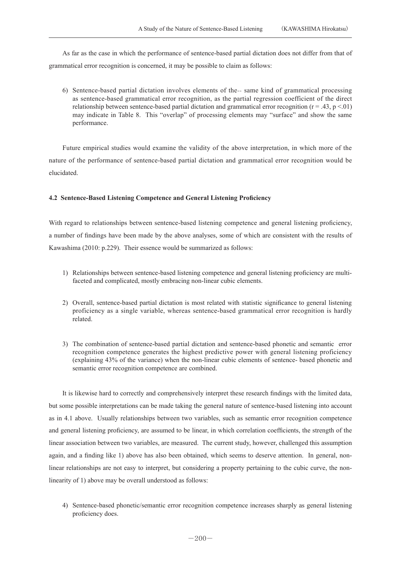As far as the case in which the performance of sentence-based partial dictation does not differ from that of grammatical error recognition is concerned, it may be possible to claim as follows:

 6) Sentence-based partial dictation involves elements of the-- same kind of grammatical processing as sentence-based grammatical error recognition, as the partial regression coefficient of the direct relationship between sentence-based partial dictation and grammatical error recognition  $(r = .43, p < .01)$ may indicate in Table 8. This "overlap" of processing elements may "surface" and show the same performance.

 Future empirical studies would examine the validity of the above interpretation, in which more of the nature of the performance of sentence-based partial dictation and grammatical error recognition would be elucidated.

## **4.2 Sentence-Based Listening Competence and General Listening Proficiency**

With regard to relationships between sentence-based listening competence and general listening proficiency, a number of findings have been made by the above analyses, some of which are consistent with the results of Kawashima (2010: p.229). Their essence would be summarized as follows:

- 1) Relationships between sentence-based listening competence and general listening proficiency are multifaceted and complicated, mostly embracing non-linear cubic elements.
- 2) Overall, sentence-based partial dictation is most related with statistic significance to general listening proficiency as a single variable, whereas sentence-based grammatical error recognition is hardly related.
- 3) The combination of sentence-based partial dictation and sentence-based phonetic and semantic error recognition competence generates the highest predictive power with general listening proficiency (explaining 43% of the variance) when the non-linear cubic elements of sentence- based phonetic and semantic error recognition competence are combined.

 It is likewise hard to correctly and comprehensively interpret these research findings with the limited data, but some possible interpretations can be made taking the general nature of sentence-based listening into account as in 4.1 above. Usually relationships between two variables, such as semantic error recognition competence and general listening proficiency, are assumed to be linear, in which correlation coefficients, the strength of the linear association between two variables, are measured. The current study, however, challenged this assumption again, and a finding like 1) above has also been obtained, which seems to deserve attention. In general, nonlinear relationships are not easy to interpret, but considering a property pertaining to the cubic curve, the nonlinearity of 1) above may be overall understood as follows:

 4) Sentence-based phonetic/semantic error recognition competence increases sharply as general listening proficiency does.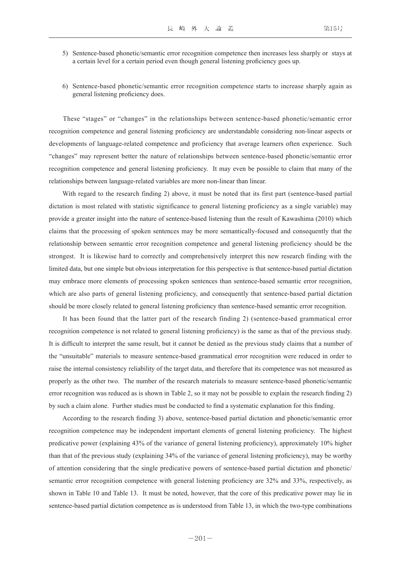- 5) Sentence-based phonetic/semantic error recognition competence then increases less sharply or stays at a certain level for a certain period even though general listening proficiency goes up.
- 6) Sentence-based phonetic/semantic error recognition competence starts to increase sharply again as general listening proficiency does.

 These "stages" or "changes" in the relationships between sentence-based phonetic/semantic error recognition competence and general listening proficiency are understandable considering non-linear aspects or developments of language-related competence and proficiency that average learners often experience. Such "changes" may represent better the nature of relationships between sentence-based phonetic/semantic error recognition competence and general listening proficiency. It may even be possible to claim that many of the relationships between language-related variables are more non-linear than linear.

 With regard to the research finding 2) above, it must be noted that its first part (sentence-based partial dictation is most related with statistic significance to general listening proficiency as a single variable) may provide a greater insight into the nature of sentence-based listening than the result of Kawashima (2010) which claims that the processing of spoken sentences may be more semantically-focused and consequently that the relationship between semantic error recognition competence and general listening proficiency should be the strongest. It is likewise hard to correctly and comprehensively interpret this new research finding with the limited data, but one simple but obvious interpretation for this perspective is that sentence-based partial dictation may embrace more elements of processing spoken sentences than sentence-based semantic error recognition, which are also parts of general listening proficiency, and consequently that sentence-based partial dictation should be more closely related to general listening proficiency than sentence-based semantic error recognition.

 It has been found that the latter part of the research finding 2) (sentence-based grammatical error recognition competence is not related to general listening proficiency) is the same as that of the previous study. It is difficult to interpret the same result, but it cannot be denied as the previous study claims that a number of the "unsuitable" materials to measure sentence-based grammatical error recognition were reduced in order to raise the internal consistency reliability of the target data, and therefore that its competence was not measured as properly as the other two. The number of the research materials to measure sentence-based phonetic/semantic error recognition was reduced as is shown in Table 2, so it may not be possible to explain the research finding 2) by such a claim alone. Further studies must be conducted to find a systematic explanation for this finding.

 According to the research finding 3) above, sentence-based partial dictation and phonetic/semantic error recognition competence may be independent important elements of general listening proficiency. The highest predicative power (explaining 43% of the variance of general listening proficiency), approximately 10% higher than that of the previous study (explaining 34% of the variance of general listening proficiency), may be worthy of attention considering that the single predicative powers of sentence-based partial dictation and phonetic/ semantic error recognition competence with general listening proficiency are 32% and 33%, respectively, as shown in Table 10 and Table 13. It must be noted, however, that the core of this predicative power may lie in sentence-based partial dictation competence as is understood from Table 13, in which the two-type combinations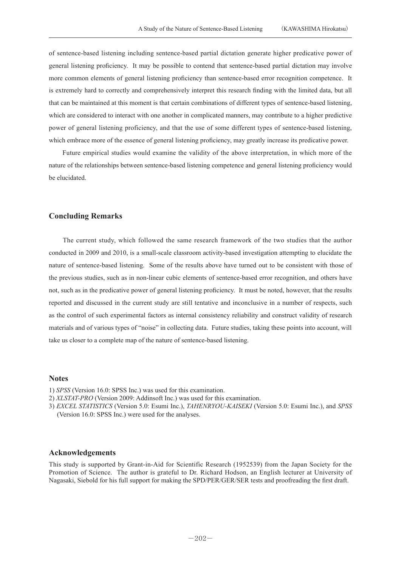of sentence-based listening including sentence-based partial dictation generate higher predicative power of general listening proficiency. It may be possible to contend that sentence-based partial dictation may involve more common elements of general listening proficiency than sentence-based error recognition competence. It is extremely hard to correctly and comprehensively interpret this research finding with the limited data, but all that can be maintained at this moment is that certain combinations of different types of sentence-based listening, which are considered to interact with one another in complicated manners, may contribute to a higher predictive power of general listening proficiency, and that the use of some different types of sentence-based listening, which embrace more of the essence of general listening proficiency, may greatly increase its predicative power.

 Future empirical studies would examine the validity of the above interpretation, in which more of the nature of the relationships between sentence-based listening competence and general listening proficiency would be elucidated.

## **Concluding Remarks**

 The current study, which followed the same research framework of the two studies that the author conducted in 2009 and 2010, is a small-scale classroom activity-based investigation attempting to elucidate the nature of sentence-based listening. Some of the results above have turned out to be consistent with those of the previous studies, such as in non-linear cubic elements of sentence-based error recognition, and others have not, such as in the predicative power of general listening proficiency. It must be noted, however, that the results reported and discussed in the current study are still tentative and inconclusive in a number of respects, such as the control of such experimental factors as internal consistency reliability and construct validity of research materials and of various types of "noise" in collecting data. Future studies, taking these points into account, will take us closer to a complete map of the nature of sentence-based listening.

## **Notes**

- 1) *SPSS* (Version 16.0: SPSS Inc.) was used for this examination.
- 2) *XLSTAT-PRO* (Version 2009: Addinsoft Inc.) was used for this examination.
- 3) *EXCEL STATISTICS* (Version 5.0: Esumi Inc.), *TAHENRYOU-KAISEKI* (Version 5.0: Esumi Inc.), and *SPSS* (Version 16.0: SPSS Inc.) were used for the analyses.

## **Acknowledgements**

This study is supported by Grant-in-Aid for Scientific Research (1952539) from the Japan Society for the Promotion of Science. The author is grateful to Dr. Richard Hodson, an English lecturer at University of Nagasaki, Siebold for his full support for making the SPD/PER/GER/SER tests and proofreading the first draft.